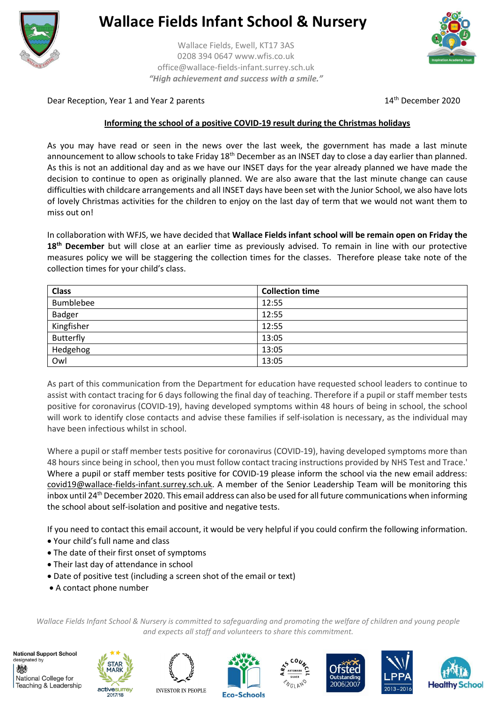

## **Wallace Fields Infant School & Nursery**

Wallace Fields, Ewell, KT17 3AS 0208 394 0647 www.wfis.co.uk office@wallace-fields-infant.surrey.sch.uk *"High achievement and success with a smile."*



Dear Reception, Year 1 and Year 2 parents 14th December 2020

## **Informing the school of a positive COVID-19 result during the Christmas holidays**

As you may have read or seen in the news over the last week, the government has made a last minute announcement to allow schools to take Friday  $18<sup>th</sup>$  December as an INSET day to close a day earlier than planned. As this is not an additional day and as we have our INSET days for the year already planned we have made the decision to continue to open as originally planned. We are also aware that the last minute change can cause difficulties with childcare arrangements and all INSET days have been set with the Junior School, we also have lots of lovely Christmas activities for the children to enjoy on the last day of term that we would not want them to miss out on!

In collaboration with WFJS, we have decided that **Wallace Fields infant school will be remain open on Friday the 18th December** but will close at an earlier time as previously advised. To remain in line with our protective measures policy we will be staggering the collection times for the classes. Therefore please take note of the collection times for your child's class.

| <b>Class</b>  | <b>Collection time</b> |
|---------------|------------------------|
| Bumblebee     | 12:55                  |
| <b>Badger</b> | 12:55                  |
| Kingfisher    | 12:55                  |
| Butterfly     | 13:05                  |
| Hedgehog      | 13:05                  |
| Owl           | 13:05                  |

As part of this communication from the Department for education have requested school leaders to continue to assist with contact tracing for 6 days following the final day of teaching. Therefore if a pupil or staff member tests positive for coronavirus (COVID-19), having developed symptoms within 48 hours of being in school, the school will work to identify close contacts and advise these families if self-isolation is necessary, as the individual may have been infectious whilst in school.

Where a pupil or staff member tests positive for coronavirus (COVID-19), having developed symptoms more than 48 hours since being in school, then you must follow contact tracing instructions provided by NHS Test and Trace.' Where a pupil or staff member tests positive for COVID-19 please inform the school via the new email address: [covid19@wallace-fields-infant.surrey.sch.uk.](mailto:covid19@wallace-fields-infant.surrey.sch.uk) A member of the Senior Leadership Team will be monitoring this inbox until 24<sup>th</sup> December 2020. This email address can also be used for all future communications when informing the school about self-isolation and positive and negative tests.

If you need to contact this email account, it would be very helpful if you could confirm the following information.

- Your child's full name and class
- The date of their first onset of symptoms
- Their last day of attendance in school
- Date of positive test (including a screen shot of the email or text)
- A contact phone number

*Wallace Fields Infant School & Nursery is committed to safeguarding and promoting the welfare of children and young people and expects all staff and volunteers to share this commitment.*

**National Support School** designated by 戀 National College for Teaching & Leadership



2017/18





 $CO<sub>U</sub>$ 







**Eco-Schools**